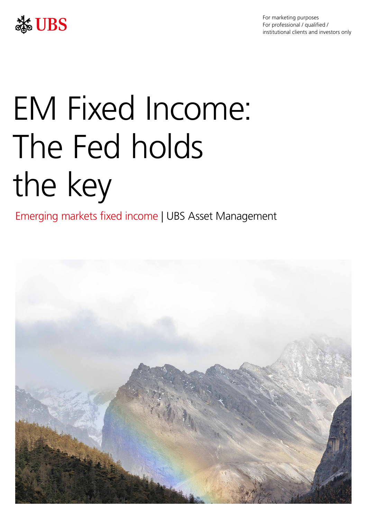



# EM Fixed Income: The Fed holds the key

Emerging markets fixed income | UBS Asset Management

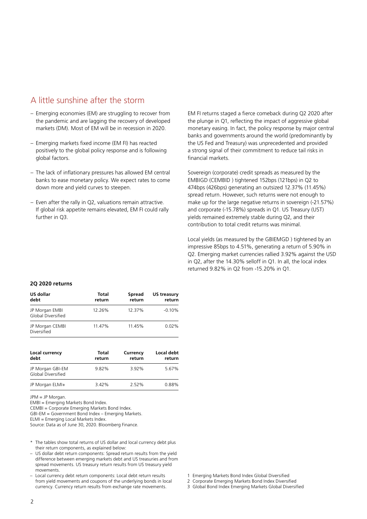# A little sunshine after the storm

- Emerging economies (EM) are struggling to recover from the pandemic and are lagging the recovery of developed markets (DM). Most of EM will be in recession in 2020.
- Emerging markets fixed income (EM FI) has reacted positively to the global policy response and is following global factors.
- The lack of inflationary pressures has allowed EM central banks to ease monetary policy. We expect rates to come down more and yield curves to steepen.
- Even after the rally in Q2, valuations remain attractive. If global risk appetite remains elevated, EM FI could rally further in Q3.

EM FI returns staged a fierce comeback during Q2 2020 after the plunge in Q1, reflecting the impact of aggressive global monetary easing. In fact, the policy response by major central banks and governments around the world (predominantly by the US Fed and Treasury) was unprecedented and provided a strong signal of their commitment to reduce tail risks in financial markets.

Sovereign (corporate) credit spreads as measured by the EMBIGD (CEMBID ) tightened 152bps (121bps) in Q2 to 474bps (426bps) generating an outsized 12.37% (11.45%) spread return. However, such returns were not enough to make up for the large negative returns in sovereign (-21.57%) and corporate (-15.78%) spreads in Q1. US Treasury (UST) yields remained extremely stable during Q2, and their contribution to total credit returns was minimal.

Local yields (as measured by the GBIEMGD ) tightened by an impressive 85bps to 4.51%, generating a return of 5.90% in Q2. Emerging market currencies rallied 3.92% against the USD in Q2, after the 14.30% selloff in Q1. In all, the local index returned 9.82% in Q2 from -15.20% in Q1.

## **2Q 2020 returns**

| US dollar<br>debt                    | Total<br>return | Spread<br>return | US treasury<br>return |  |
|--------------------------------------|-----------------|------------------|-----------------------|--|
| JP Morgan EMBI<br>Global Diversified | 12.26%          | 12.37%           | $-0.10\%$             |  |
| JP Morgan CEMBI<br>Diversified       | 11.47%          | 11.45%           | 0.02%                 |  |

| Local currency<br>debt                 | Total<br>return | Currency<br>return | Local debt<br>return |
|----------------------------------------|-----------------|--------------------|----------------------|
| JP Morgan GBI-EM<br>Global Diversified | 9.82%           | 3.92%              | 5.67%                |
| JP Morgan ELMI+                        | 3.42%           | 2.52%              | 0.88%                |

JPM = JP Morgan.

EMBI = Emerging Markets Bond Index.

CEMBI = Corporate Emerging Markets Bond Index.

GBI-EM = Government Bond Index – Emerging Markets.

ELMI = Emerging Local Markets Index.

Source: Data as of June 30, 2020. Bloomberg Finance.

- \* The tables show total returns of US dollar and local currency debt plus their return components, as explained below:
- US dollar debt return components: Spread return results from the yield difference between emerging markets debt and US treasuries and from spread movements. US treasury return results from US treasury yield movements.
- Local currency debt return components: Local debt return results from yield movements and coupons of the underlying bonds in local currency. Currency return results from exchange rate movements.
- 1 Emerging Markets Bond Index Global Diversified
- 2 Corporate Emerging Markets Bond Index Diversified
- 3 Global Bond Index Emerging Markets Global Diversified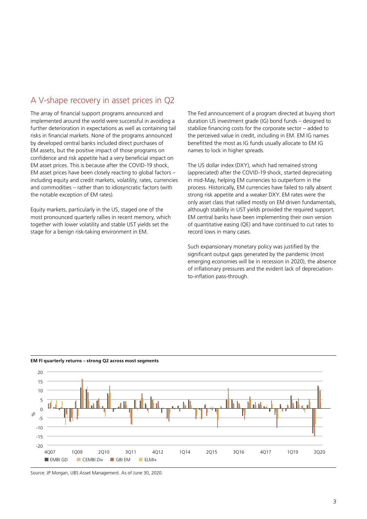# A V-shape recovery in asset prices in Q2

The array of financial support programs announced and implemented around the world were successful in avoiding a further deterioration in expectations as well as containing tail risks in financial markets. None of the programs announced by developed central banks included direct purchases of EM assets, but the positive impact of those programs on confidence and risk appetite had a very beneficial impact on EM asset prices. This is because after the COVID-19 shock, EM asset prices have been closely reacting to global factors – including equity and credit markets, volatility, rates, currencies and commodities – rather than to idiosyncratic factors (with the notable exception of EM rates).

Equity markets, particularly in the US, staged one of the most pronounced quarterly rallies in recent memory, which together with lower volatility and stable UST yields set the stage for a benign risk-taking environment in EM.

The Fed announcement of a program directed at buying short duration US investment grade (IG) bond funds – designed to stabilize financing costs for the corporate sector – added to the perceived value in credit, including in EM. EM IG names benefitted the most as IG funds usually allocate to EM IG names to lock in higher spreads.

The US dollar index (DXY), which had remained strong (appreciated) after the COVID-19 shock, started depreciating in mid-May, helping EM currencies to outperform in the process. Historically, EM currencies have failed to rally absent strong risk appetite and a weaker DXY. EM rates were the only asset class that rallied mostly on EM driven fundamentals, although stability in UST yields provided the required support. EM central banks have been implementing their own version of quantitative easing (QE) and have continued to cut rates to record lows in many cases.

Such expansionary monetary policy was justified by the significant output gaps generated by the pandemic (most emerging economies will be in recession in 2020), the absence of inflationary pressures and the evident lack of depreciationto-inflation pass-through.



**EM FI quarterly returns – strong Q2 across most segments**

Source: JP Morgan, UBS Asset Management. As of June 30, 2020.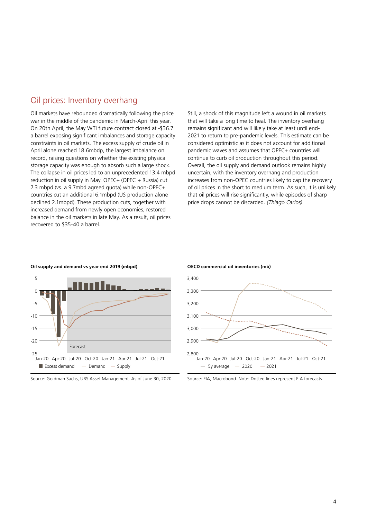## Oil prices: Inventory overhang

Oil markets have rebounded dramatically following the price war in the middle of the pandemic in March-April this year. On 20th April, the May WTI future contract closed at -\$36.7 a barrel exposing significant imbalances and storage capacity constraints in oil markets. The excess supply of crude oil in April alone reached 18.6mbdp, the largest imbalance on record, raising questions on whether the existing physical storage capacity was enough to absorb such a large shock. The collapse in oil prices led to an unprecedented 13.4 mbpd reduction in oil supply in May. OPEC+ (OPEC + Russia) cut 7.3 mbpd (vs. a 9.7mbd agreed quota) while non-OPEC+ countries cut an additional 6.1mbpd (US production alone declined 2.1mbpd). These production cuts, together with increased demand from newly open economies, restored balance in the oil markets in late May. As a result, oil prices recovered to \$35-40 a barrel.

Still, a shock of this magnitude left a wound in oil markets that will take a long time to heal. The inventory overhang remains significant and will likely take at least until end-2021 to return to pre-pandemic levels. This estimate can be considered optimistic as it does not account for additional pandemic waves and assumes that OPEC+ countries will continue to curb oil production throughout this period. Overall, the oil supply and demand outlook remains highly uncertain, with the inventory overhang and production increases from non-OPEC countries likely to cap the recovery of oil prices in the short to medium term. As such, it is unlikely that oil prices will rise significantly, while episodes of sharp price drops cannot be discarded. *(Thiago Carlos)*



**Oil supply and demand vs year end 2019 (mbpd)**

Source: Goldman Sachs, UBS Asset Management. As of June 30, 2020.



Source: EIA, Macrobond. Note: Dotted lines represent EIA forecasts.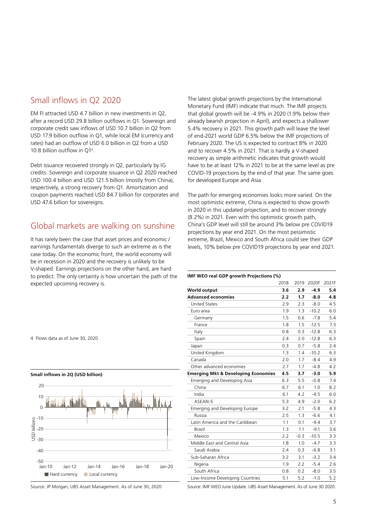## Small inflows in Q2 2020

EM FI attracted USD 4.7 billion in new investments in Q2, after a record USD 29.8 billion outflows in Q1. Sovereign and corporate credit saw inflows of USD 10.7 billion in Q2 from USD 17.9 billion outflow in Q1, while local EM (currency and rates) had an outflow of USD 6.0 billion in Q2 from a USD 10.8 billion outflow in Q14.

Debt issuance recovered strongly in Q2, particularly by IG credits. Sovereign and corporate issuance in Q2 2020 reached USD 100.4 billion and USD 121.5 billion (mostly from China), respectively, a strong recovery from Q1. Amortization and coupon payments reached USD 84.7 billion for corporates and USD 47.6 billion for sovereigns.

## Global markets are walking on sunshine

It has rarely been the case that asset prices and economic / earnings fundamentals diverge to such an extreme as is the case today. On the economic front, the world economy will be in recession in 2020 and the recovery is unlikely to be V-shaped. Earnings projections on the other hand, are hard to predict. The only certainty is how uncertain the path of the expected upcoming recovery is.

The latest global growth projections by the International Monetary Fund (IMF) indicate that much. The IMF projects that global growth will be -4.9% in 2020 (1.9% below their already bearish projection in April), and expects a shallower 5.4% recovery in 2021. This growth path will leave the level of end-2021 world GDP 6.5% below the IMF projections of February 2020. The US is expected to contract 8% in 2020 and to recover 4.5% in 2021. That is hardly a V-shaped recovery as simple arithmetic indicates that growth would have to be at least 12% in 2021 to be at the same level as pre COVID-19 projections by the end of that year. The same goes for developed Europe and Asia.

The path for emerging economies looks more varied. On the most optimistic extreme, China is expected to show growth in 2020 in this updated projection, and to recover strongly (8.2%) in 2021. Even with this optimistic growth path, China's GDP level will still be around 3% below pre COVID19 projections by year end 2021. On the most pessimistic extreme, Brazil, Mexico and South Africa could see their GDP levels, 10% below pre COVID19 projections by year end 2021.

## **IMF WEO real GDP growth Projections (%)**

|                                                | 2018 | 2019   | 2020F   | 2021F |
|------------------------------------------------|------|--------|---------|-------|
| <b>World output</b>                            | 3.6  | 2.9    | $-4.9$  | 5.4   |
| <b>Advanced economies</b>                      | 2.2  | 1.7    | $-8.0$  | 4.8   |
| <b>United States</b>                           | 2.9  | 2.3    | $-8.0$  | 4.5   |
| Euro area                                      | 1.9  | 1.3    | $-10.2$ | 6.0   |
| Germany                                        | 1.5  | 0.6    | $-7.8$  | 5.4   |
| France                                         | 1.8  | 1.5    | $-12.5$ | 7.3   |
| Italy                                          | 0.8  | 0.3    | $-12.8$ | 6.3   |
| Spain                                          | 2.4  | 2.0    | $-12.8$ | 6.3   |
| Japan                                          | 0.3  | 0.7    | $-5.8$  | 2.4   |
| United Kingdom                                 | 1.3  | 1.4    | $-10.2$ | 6.3   |
| Canada                                         | 2.0  | 1.7    | $-8.4$  | 4.9   |
| Other advanced economies                       | 2.7  | 1.7    | $-4.8$  | 4.2   |
| <b>Emerging Mkt &amp; Developing Economies</b> | 4.5  | 3.7    | $-3.0$  | 5.9   |
| Emerging and Developing Asia                   | 6.3  | 5.5    | $-0.8$  | 7.4   |
| China                                          | 6.7  | 6.1    | 1.0     | 8.2   |
| India                                          | 6.1  | 4.2    | $-4.5$  | 6.0   |
| ASEAN-5                                        | 5.3  | 4.9    | $-2.0$  | 6.2   |
| Emerging and Developing Europe                 | 3.2  | 2.1    | $-5.8$  | 4.3   |
| Russia                                         | 2.5  | 1.3    | $-6.6$  | 4.1   |
| Latin America and the Caribbean                | 1.1  | 0.1    | $-9.4$  | 3.7   |
| Brazil                                         | 1.3  | 1.1    | $-9.1$  | 3.6   |
| Mexico                                         | 2.2  | $-0.3$ | $-10.5$ | 3.3   |
| Middle East and Central Asia                   | 1.8  | 1.0    | $-4.7$  | 3.3   |
| Saudi Arabia                                   | 2.4  | 0.3    | $-6.8$  | 3.1   |
| Sub-Saharan Africa                             | 3.2  | 3.1    | $-3.2$  | 3.4   |
| Nigeria                                        | 1.9  | 2.2    | $-5.4$  | 2.6   |
| South Africa                                   | 0.8  | 0.2    | $-8.0$  | 3.5   |
| Low-Income Developing Countries                | 5.1  | 5.2    | $-1.0$  | 5.2   |

4 Flows data as of June 30, 2020

**Small inflows in 2Q (USD billion)**



Source: JP Morgan, UBS Asset Management. As of June 30, 2020

Source: IMF WEO June Update. UBS Asset Management. As of June 30 2020.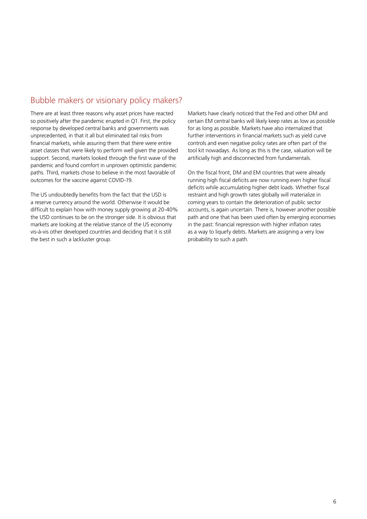# Bubble makers or visionary policy makers?

There are at least three reasons why asset prices have reacted so positively after the pandemic erupted in Q1. First, the policy response by developed central banks and governments was unprecedented, in that it all but eliminated tail risks from financial markets, while assuring them that there were entire asset classes that were likely to perform well given the provided support. Second, markets looked through the first wave of the pandemic and found comfort in unproven optimistic pandemic paths. Third, markets chose to believe in the most favorable of outcomes for the vaccine against COVID-19.

The US undoubtedly benefits from the fact that the USD is a reserve currency around the world. Otherwise it would be difficult to explain how with money supply growing at 20-40% the USD continues to be on the stronger side. It is obvious that markets are looking at the relative stance of the US economy vis-à-vis other developed countries and deciding that it is still the best in such a lackluster group.

Markets have clearly noticed that the Fed and other DM and certain EM central banks will likely keep rates as low as possible for as long as possible. Markets have also internalized that further interventions in financial markets such as yield curve controls and even negative policy rates are often part of the tool kit nowadays. As long as this is the case, valuation will be artificially high and disconnected from fundamentals.

On the fiscal front, DM and EM countries that were already running high fiscal deficits are now running even higher fiscal deficits while accumulating higher debt loads. Whether fiscal restraint and high growth rates globally will materialize in coming years to contain the deterioration of public sector accounts, is again uncertain. There is, however another possible path and one that has been used often by emerging economies in the past: financial repression with higher inflation rates as a way to liquefy debts. Markets are assigning a very low probability to such a path.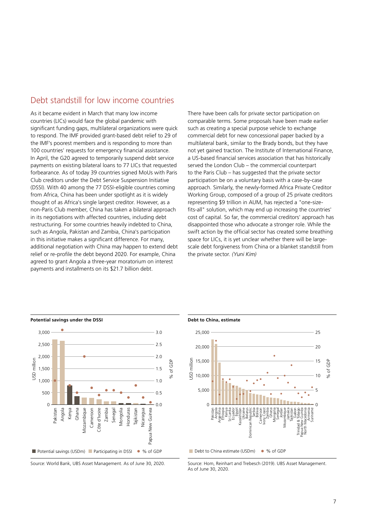## Debt standstill for low income countries

As it became evident in March that many low income countries (LICs) would face the global pandemic with significant funding gaps, multilateral organizations were quick to respond. The IMF provided grant-based debt relief to 29 of the IMF's poorest members and is responding to more than 100 countries' requests for emergency financial assistance. In April, the G20 agreed to temporarily suspend debt service payments on existing bilateral loans to 77 LICs that requested forbearance. As of today 39 countries signed MoUs with Paris Club creditors under the Debt Service Suspension Initiative (DSSI). With 40 among the 77 DSSI-eligible countries coming from Africa, China has been under spotlight as it is widely thought of as Africa's single largest creditor. However, as a non-Paris Club member, China has taken a bilateral approach in its negotiations with affected countries, including debt restructuring. For some countries heavily indebted to China, such as Angola, Pakistan and Zambia, China's participation in this initiative makes a significant difference. For many, additional negotiation with China may happen to extend debt relief or re-profile the debt beyond 2020. For example, China agreed to grant Angola a three-year moratorium on interest payments and installments on its \$21.7 billion debt.

There have been calls for private sector participation on comparable terms. Some proposals have been made earlier such as creating a special purpose vehicle to exchange commercial debt for new concessional paper backed by a multilateral bank, similar to the Brady bonds, but they have not yet gained traction. The Institute of International Finance, a US-based financial services association that has historically served the London Club – the commercial counterpart to the Paris Club – has suggested that the private sector participation be on a voluntary basis with a case-by-case approach. Similarly, the newly-formed Africa Private Creditor Working Group, composed of a group of 25 private creditors representing \$9 trillion in AUM, has rejected a "one-sizefits-all" solution, which may end up increasing the countries' cost of capital. So far, the commercial creditors' approach has disappointed those who advocate a stronger role. While the swift action by the official sector has created some breathing space for LICs, it is yet unclear whether there will be largescale debt forgiveness from China or a blanket standstill from the private sector. *(Yuni Kim)*



Source: World Bank, UBS Asset Management. As of June 30, 2020.



Source: Hom, Reinhart and Trebesch (2019). UBS Asset Management. As of June 30, 2020.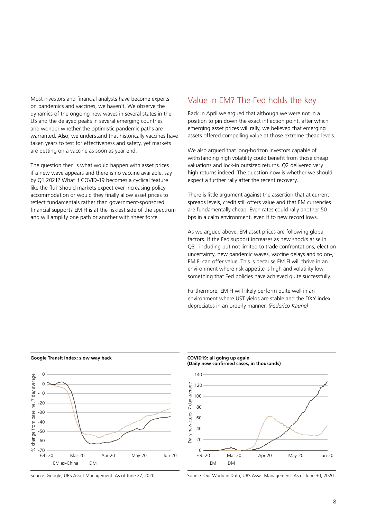Most investors and financial analysts have become experts on pandemics and vaccines, we haven't. We observe the dynamics of the ongoing new waves in several states in the US and the delayed peaks in several emerging countries and wonder whether the optimistic pandemic paths are warranted. Also, we understand that historically vaccines have taken years to test for effectiveness and safety, yet markets are betting on a vaccine as soon as year end.

The question then is what would happen with asset prices if a new wave appears and there is no vaccine available, say by Q1 2021? What if COVID-19 becomes a cyclical feature like the flu? Should markets expect ever increasing policy accommodation or would they finally allow asset prices to reflect fundamentals rather than government-sponsored financial support? EM FI is at the riskiest side of the spectrum and will amplify one path or another with sheer force.

## Value in EM? The Fed holds the key

Back in April we argued that although we were not in a position to pin down the exact inflection point, after which emerging asset prices will rally, we believed that emerging assets offered compelling value at those extreme cheap levels.

We also argued that long-horizon investors capable of withstanding high volatility could benefit from those cheap valuations and lock-in outsized returns. Q2 delivered very high returns indeed. The question now is whether we should expect a further rally after the recent recovery.

There is little argument against the assertion that at current spreads levels, credit still offers value and that EM currencies are fundamentally cheap. Even rates could rally another 50 bps in a calm environment, even if to new record lows.

As we argued above, EM asset prices are following global factors. If the Fed support increases as new shocks arise in Q3 –including but not limited to trade confrontations, election uncertainty, new pandemic waves, vaccine delays and so on-, EM FI can offer value. This is because EM FI will thrive in an environment where risk appetite is high and volatility low, something that Fed policies have achieved quite successfully.

Furthermore, EM FI will likely perform quite well in an environment where UST yields are stable and the DXY index depreciates in an orderly manner. *(Federico Kaune)*



**Google Transit Index: slow way back**

Source: Google, UBS Asset Management. As of June 27, 2020





Source: Our World in Data, UBS Asset Management. As of June 30, 2020.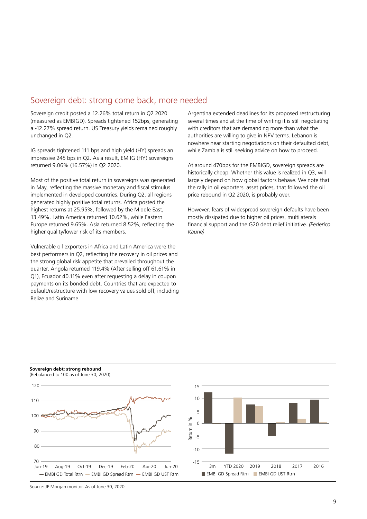## Sovereign debt: strong come back, more needed

Sovereign credit posted a 12.26% total return in Q2 2020 (measured as EMBIGD). Spreads tightened 152bps, generating a -12.27% spread return. US Treasury yields remained roughly unchanged in Q2.

IG spreads tightened 111 bps and high yield (HY) spreads an impressive 245 bps in Q2. As a result, EM IG (HY) sovereigns returned 9.06% (16.57%) in Q2 2020.

Most of the positive total return in sovereigns was generated in May, reflecting the massive monetary and fiscal stimulus implemented in developed countries. During Q2, all regions generated highly positive total returns. Africa posted the highest returns at 25.95%, followed by the Middle East, 13.49%. Latin America returned 10.62%, while Eastern Europe returned 9.65%. Asia returned 8.52%, reflecting the higher quality/lower risk of its members.

Vulnerable oil exporters in Africa and Latin America were the best performers in Q2, reflecting the recovery in oil prices and the strong global risk appetite that prevailed throughout the quarter. Angola returned 119.4% (After selling off 61.61% in Q1), Ecuador 40.11% even after requesting a delay in coupon payments on its bonded debt. Countries that are expected to default/restructure with low recovery values sold off, including Belize and Suriname.

Argentina extended deadlines for its proposed restructuring several times and at the time of writing it is still negotiating with creditors that are demanding more than what the authorities are willing to give in NPV terms. Lebanon is nowhere near starting negotiations on their defaulted debt, while Zambia is still seeking advice on how to proceed.

At around 470bps for the EMBIGD, sovereign spreads are historically cheap. Whether this value is realized in Q3, will largely depend on how global factors behave. We note that the rally in oil exporters' asset prices, that followed the oil price rebound in Q2 2020, is probably over.

However, fears of widespread sovereign defaults have been mostly dissipated due to higher oil prices, multilaterals financial support and the G20 debt relief initiative. *(Federico Kaune)*

**Sovereign debt: strong rebound** (Rebalanced to 100 as of June 30, 2020)





Source: JP Morgan monitor. As of June 30, 2020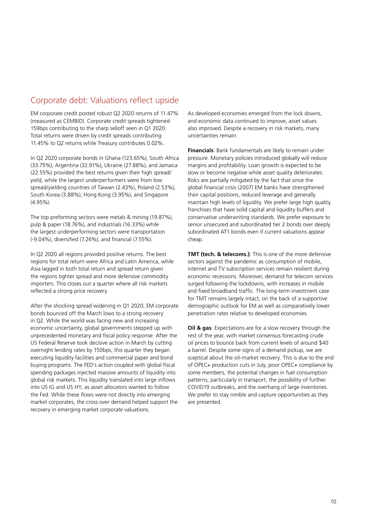# Corporate debt: Valuations reflect upside

EM corporate credit posted robust Q2 2020 returns of 11.47% (measured as CEMBID). Corporate credit spreads tightened 159bps contributing to the sharp selloff seen in Q1 2020. Total returns were driven by credit spreads contributing 11.45% to Q2 returns while Treasury contributes 0.02%.

In Q2 2020 corporate bonds in Ghana (123.65%), South Africa (33.75%), Argentina (32.91%), Ukraine (27.88%), and Jamaica (22.55%) provided the best returns given their high spread/ yield, while the largest underperformers were from low spread/yielding countries of Taiwan (2.43%), Poland (2.53%), South Korea (3.88%), Hong Kong (3.95%), and Singapore (4.95%).

The top preforming sectors were metals & mining (19.87%), pulp & paper (18.76%), and industrials (16.33%) while the largest underperforming sectors were transportation (-9.04%), diversified (7.26%), and financial (7.55%).

In Q2 2020 all regions provided positive returns. The best regions for total return were Africa and Latin America, while Asia lagged in both total return and spread return given the regions tighter spread and more defensive commodity importers. This closes out a quarter where all risk markets reflected a strong price recovery.

After the shocking spread widening in Q1 2020, EM corporate bonds bounced off the March lows to a strong recovery in Q2. While the world was facing new and increasing economic uncertainty, global governments stepped up with unprecedented monetary and fiscal policy response. After the US Federal Reserve took decisive action in March by cutting overnight lending rates by 150bps, this quarter they began executing liquidity facilities and commercial paper and bond buying programs. The FED's action coupled with global fiscal spending packages injected massive amounts of liquidity into global risk markets. This liquidity translated into large inflows into US IG and US HY, as asset allocators wanted to follow the Fed. While these flows were not directly into emerging market corporates, the cross over demand helped support the recovery in emerging market corporate valuations.

As developed economies emerged from the lock downs, and economic data continued to improve, asset values also improved. Despite a recovery in risk markets, many uncertainties remain.

**Financials**: Bank fundamentals are likely to remain under pressure. Monetary policies introduced globally will reduce margins and profitability. Loan growth is expected to be slow or become negative while asset quality deteriorates. Risks are partially mitigated by the fact that since the global financial crisis (2007) EM banks have strengthened their capital positions, reduced leverage and generally maintain high levels of liquidity. We prefer large high quality franchises that have solid capital and liquidity buffers and conservative underwriting standards. We prefer exposure to senior unsecured and subordinated tier 2 bonds over deeply subordinated AT1 bonds even if current valuations appear cheap.

**TMT (tech. & telecoms.)**: This is one of the more defensive sectors against the pandemic as consumption of mobile, internet and TV subscription services remain resilient during economic recessions. Moreover, demand for telecom services surged following the lockdowns, with increases in mobile and fixed broadband traffic. The long-term investment case for TMT remains largely intact, on the back of a supportive demographic outlook for EM as well as comparatively lower penetration rates relative to developed economies.

**Oil & gas**: Expectations are for a slow recovery through the rest of the year, with market consensus forecasting crude oil prices to bounce back from current levels of around \$40 a barrel. Despite some signs of a demand pickup, we are sceptical about the oil-market recovery. This is due to the end of OPEC+ production cuts in July, poor OPEC+ compliance by some members, the potential changes in fuel consumption patterns, particularly in transport, the possibility of further COVID19 outbreaks, and the overhang of large inventories. We prefer to stay nimble and capture opportunities as they are presented.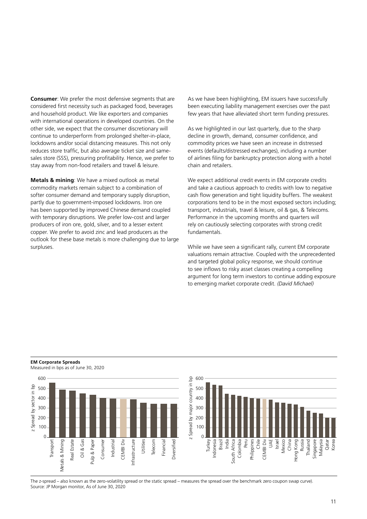**Consumer**: We prefer the most defensive segments that are considered first necessity such as packaged food, beverages and household product. We like exporters and companies with international operations in developed countries. On the other side, we expect that the consumer discretionary will continue to underperform from prolonged shelter-in-place, lockdowns and/or social distancing measures. This not only reduces store traffic, but also average ticket size and samesales store (SSS), pressuring profitability. Hence, we prefer to stay away from non-food retailers and travel & leisure.

**Metals & mining**: We have a mixed outlook as metal commodity markets remain subject to a combination of softer consumer demand and temporary supply disruption, partly due to government-imposed lockdowns. Iron ore has been supported by improved Chinese demand coupled with temporary disruptions. We prefer low-cost and larger producers of iron ore, gold, silver, and to a lesser extent copper. We prefer to avoid zinc and lead producers as the outlook for these base metals is more challenging due to large surpluses.

As we have been highlighting, EM issuers have successfully been executing liability management exercises over the past few years that have alleviated short term funding pressures.

As we highlighted in our last quarterly, due to the sharp decline in growth, demand, consumer confidence, and commodity prices we have seen an increase in distressed events (defaults/distressed exchanges), including a number of airlines filing for bankruptcy protection along with a hotel chain and retailers.

We expect additional credit events in EM corporate credits and take a cautious approach to credits with low to negative cash flow generation and tight liquidity buffers. The weakest corporations tend to be in the most exposed sectors including; transport, industrials, travel & leisure, oil & gas, & Telecoms. Performance in the upcoming months and quarters will rely on cautiously selecting corporates with strong credit fundamentals.

While we have seen a significant rally, current EM corporate valuations remain attractive. Coupled with the unprecedented and targeted global policy response, we should continue to see inflows to risky asset classes creating a compelling argument for long term investors to continue adding exposure to emerging market corporate credit. *(David Michael)*

#### **EM Corporate Spreads**

Measured in bps as of June 30, 2020



The z-spread – also known as the zero-volatility spread or the static spread – measures the spread over the benchmark zero coupon swap curve). Source: JP Morgan monitor, As of June 30, 2020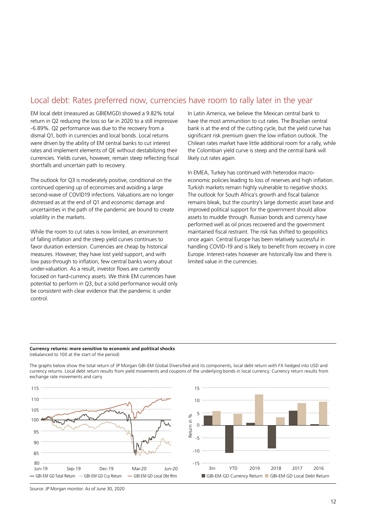# Local debt: Rates preferred now, currencies have room to rally later in the year

EM local debt (measured as GBIEMGD) showed a 9.82% total return in Q2 reducing the loss so far in 2020 to a still impressive -6.89%. Q2 performance was due to the recovery from a dismal Q1, both in currencies and local bonds. Local returns were driven by the ability of EM central banks to cut interest rates and implement elements of QE without destabilizing their currencies. Yields curves, however, remain steep reflecting fiscal shortfalls and uncertain path to recovery.

The outlook for Q3 is moderately positive, conditional on the continued opening up of economies and avoiding a large second-wave of COVID19 infections. Valuations are no longer distressed as at the end of Q1 and economic damage and uncertainties in the path of the pandemic are bound to create volatility in the markets.

While the room to cut rates is now limited, an environment of falling inflation and the steep yield curves continues to favor duration extension. Currencies are cheap by historical measures. However, they have lost yield support, and with low pass-through to inflation, few central banks worry about under-valuation. As a result, investor flows are currently focused on hard-currency assets. We think EM currencies have potential to perform in Q3, but a solid performance would only be consistent with clear evidence that the pandemic is under control.

In Latin America, we believe the Mexican central bank to have the most ammunition to cut rates. The Brazilian central bank is at the end of the cutting cycle, but the yield curve has significant risk premium given the low inflation outlook. The Chilean rates market have little additional room for a rally, while the Colombian yield curve is steep and the central bank will likely cut rates again.

In EMEA, Turkey has continued with heterodox macroeconomic policies leading to loss of reserves and high inflation. Turkish markets remain highly vulnerable to negative shocks. The outlook for South Africa's growth and fiscal balance remains bleak, but the country's large domestic asset base and improved political support for the government should allow assets to muddle through. Russian bonds and currency have performed well as oil prices recovered and the government maintained fiscal restraint. The risk has shifted to geopolitics once again. Central Europe has been relatively successful in handling COVID-19 and is likely to benefit from recovery in core Europe. Interest-rates however are historically low and there is limited value in the currencies.

## **Currency returns: more sensitive to economic and political shocks**  (rebalanced to 100 at the start of the period)

The graphs below show the total return of JP Morgan GBI-EM Global Diversified and its components, local debt return with FX hedged into USD and currency returns. Local debt return results from yield movements and coupons of the underlying bonds in local currency. Currency return results from exchange rate movements and carry





Source: JP Morgan monitor. As of June 30, 2020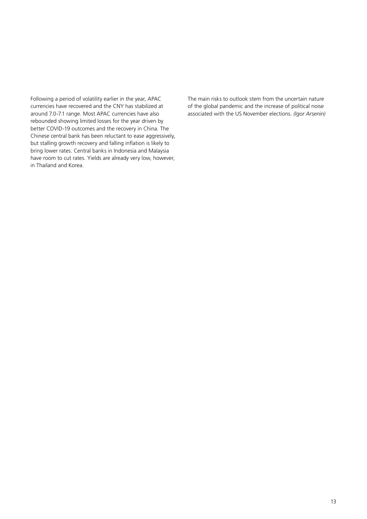Following a period of volatility earlier in the year, APAC currencies have recovered and the CNY has stabilized at around 7.0-7.1 range. Most APAC currencies have also rebounded showing limited losses for the year driven by better COVID-19 outcomes and the recovery in China. The Chinese central bank has been reluctant to ease aggressively, but stalling growth recovery and falling inflation is likely to bring lower rates. Central banks in Indonesia and Malaysia have room to cut rates. Yields are already very low, however, in Thailand and Korea.

The main risks to outlook stem from the uncertain nature of the global pandemic and the increase of political noise associated with the US November elections. *(Igor Arsenin)*